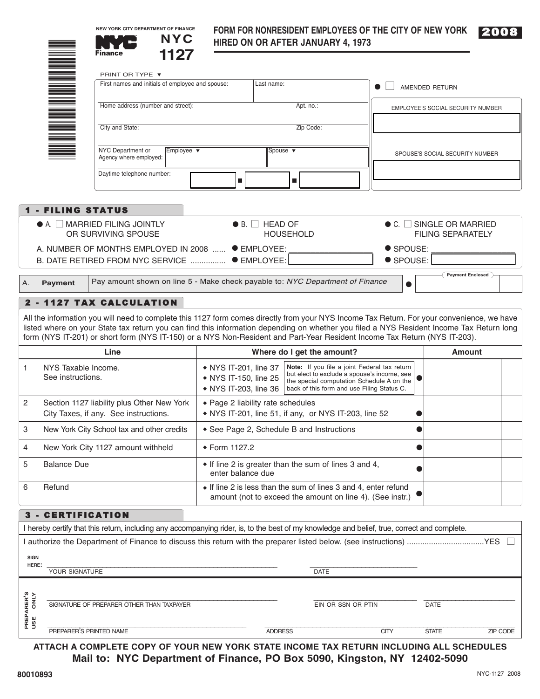**NEW YORK CITY DEPARTMENT OF FINANCE**



## **FORM FOR NONRESIDENT EMPLOYEES OF THE CITY OF NEW YORK** 2008 **NYC HIRED ON OR AFTER JANUARY 4, 1973**



| PRINT OR TYPE ▼<br>NH NH NH<br>Home address (number and street):<br>City and State:<br>NYC Department or<br>Agency where employed:<br>Daytime telephone number:<br><b>1 - FILING STATUS</b><br>$\bullet$ A. $\Box$ MARRIED FILING JOINTLY<br>OR SURVIVING SPOUSE<br>A. NUMBER OF MONTHS EMPLOYED IN 2008  ● EMPLOYEE:<br>B. DATE RETIRED FROM NYC SERVICE  ● EMPLOYEE:<br><b>Payment</b> | First names and initials of employee and spouse:<br>Employee $\blacktriangledown$ | Last name:<br>Apt. no.:<br>Zip Code:<br>Spouse $\blacktriangledown$<br>$\blacksquare$<br>$\blacksquare$<br>$\bullet$ B. $\Box$ HEAD OF<br><b>HOUSEHOLD</b>                                                                                                                                                                   |                                                                         | AMENDED RETURN<br>SPOUSE'S SOCIAL SECURITY NUMBER<br>$\bullet$ C. $\Box$ SINGLE OR MARRIED<br>● SPOUSE:                                          | EMPLOYEE'S SOCIAL SECURITY NUMBER<br><b>FILING SEPARATELY</b>                                                                                                                                                                                                                                                                                                                                                                                                                                                                                                                                                                                                                                                                                                                                                                                                                                                                                                                                           |  |
|------------------------------------------------------------------------------------------------------------------------------------------------------------------------------------------------------------------------------------------------------------------------------------------------------------------------------------------------------------------------------------------|-----------------------------------------------------------------------------------|------------------------------------------------------------------------------------------------------------------------------------------------------------------------------------------------------------------------------------------------------------------------------------------------------------------------------|-------------------------------------------------------------------------|--------------------------------------------------------------------------------------------------------------------------------------------------|---------------------------------------------------------------------------------------------------------------------------------------------------------------------------------------------------------------------------------------------------------------------------------------------------------------------------------------------------------------------------------------------------------------------------------------------------------------------------------------------------------------------------------------------------------------------------------------------------------------------------------------------------------------------------------------------------------------------------------------------------------------------------------------------------------------------------------------------------------------------------------------------------------------------------------------------------------------------------------------------------------|--|
|                                                                                                                                                                                                                                                                                                                                                                                          |                                                                                   |                                                                                                                                                                                                                                                                                                                              |                                                                         |                                                                                                                                                  |                                                                                                                                                                                                                                                                                                                                                                                                                                                                                                                                                                                                                                                                                                                                                                                                                                                                                                                                                                                                         |  |
|                                                                                                                                                                                                                                                                                                                                                                                          |                                                                                   |                                                                                                                                                                                                                                                                                                                              |                                                                         |                                                                                                                                                  |                                                                                                                                                                                                                                                                                                                                                                                                                                                                                                                                                                                                                                                                                                                                                                                                                                                                                                                                                                                                         |  |
|                                                                                                                                                                                                                                                                                                                                                                                          |                                                                                   |                                                                                                                                                                                                                                                                                                                              |                                                                         |                                                                                                                                                  |                                                                                                                                                                                                                                                                                                                                                                                                                                                                                                                                                                                                                                                                                                                                                                                                                                                                                                                                                                                                         |  |
|                                                                                                                                                                                                                                                                                                                                                                                          |                                                                                   |                                                                                                                                                                                                                                                                                                                              |                                                                         |                                                                                                                                                  |                                                                                                                                                                                                                                                                                                                                                                                                                                                                                                                                                                                                                                                                                                                                                                                                                                                                                                                                                                                                         |  |
|                                                                                                                                                                                                                                                                                                                                                                                          |                                                                                   |                                                                                                                                                                                                                                                                                                                              |                                                                         |                                                                                                                                                  |                                                                                                                                                                                                                                                                                                                                                                                                                                                                                                                                                                                                                                                                                                                                                                                                                                                                                                                                                                                                         |  |
|                                                                                                                                                                                                                                                                                                                                                                                          |                                                                                   |                                                                                                                                                                                                                                                                                                                              |                                                                         |                                                                                                                                                  |                                                                                                                                                                                                                                                                                                                                                                                                                                                                                                                                                                                                                                                                                                                                                                                                                                                                                                                                                                                                         |  |
|                                                                                                                                                                                                                                                                                                                                                                                          |                                                                                   |                                                                                                                                                                                                                                                                                                                              |                                                                         |                                                                                                                                                  |                                                                                                                                                                                                                                                                                                                                                                                                                                                                                                                                                                                                                                                                                                                                                                                                                                                                                                                                                                                                         |  |
|                                                                                                                                                                                                                                                                                                                                                                                          |                                                                                   |                                                                                                                                                                                                                                                                                                                              |                                                                         |                                                                                                                                                  |                                                                                                                                                                                                                                                                                                                                                                                                                                                                                                                                                                                                                                                                                                                                                                                                                                                                                                                                                                                                         |  |
|                                                                                                                                                                                                                                                                                                                                                                                          |                                                                                   |                                                                                                                                                                                                                                                                                                                              |                                                                         | SPOUSE:                                                                                                                                          | <b>Payment Enclosed</b>                                                                                                                                                                                                                                                                                                                                                                                                                                                                                                                                                                                                                                                                                                                                                                                                                                                                                                                                                                                 |  |
|                                                                                                                                                                                                                                                                                                                                                                                          |                                                                                   |                                                                                                                                                                                                                                                                                                                              |                                                                         |                                                                                                                                                  |                                                                                                                                                                                                                                                                                                                                                                                                                                                                                                                                                                                                                                                                                                                                                                                                                                                                                                                                                                                                         |  |
|                                                                                                                                                                                                                                                                                                                                                                                          |                                                                                   |                                                                                                                                                                                                                                                                                                                              |                                                                         |                                                                                                                                                  |                                                                                                                                                                                                                                                                                                                                                                                                                                                                                                                                                                                                                                                                                                                                                                                                                                                                                                                                                                                                         |  |
|                                                                                                                                                                                                                                                                                                                                                                                          |                                                                                   |                                                                                                                                                                                                                                                                                                                              |                                                                         |                                                                                                                                                  |                                                                                                                                                                                                                                                                                                                                                                                                                                                                                                                                                                                                                                                                                                                                                                                                                                                                                                                                                                                                         |  |
| Line                                                                                                                                                                                                                                                                                                                                                                                     |                                                                                   |                                                                                                                                                                                                                                                                                                                              |                                                                         |                                                                                                                                                  | Amount                                                                                                                                                                                                                                                                                                                                                                                                                                                                                                                                                                                                                                                                                                                                                                                                                                                                                                                                                                                                  |  |
| NYS Taxable Income.<br>See instructions.                                                                                                                                                                                                                                                                                                                                                 |                                                                                   |                                                                                                                                                                                                                                                                                                                              |                                                                         |                                                                                                                                                  |                                                                                                                                                                                                                                                                                                                                                                                                                                                                                                                                                                                                                                                                                                                                                                                                                                                                                                                                                                                                         |  |
|                                                                                                                                                                                                                                                                                                                                                                                          |                                                                                   | ◆ Page 2 liability rate schedules<br>• NYS IT-201, line 51, if any, or NYS IT-203, line 52                                                                                                                                                                                                                                   |                                                                         |                                                                                                                                                  |                                                                                                                                                                                                                                                                                                                                                                                                                                                                                                                                                                                                                                                                                                                                                                                                                                                                                                                                                                                                         |  |
|                                                                                                                                                                                                                                                                                                                                                                                          |                                                                                   | See Page 2, Schedule B and Instructions                                                                                                                                                                                                                                                                                      |                                                                         |                                                                                                                                                  |                                                                                                                                                                                                                                                                                                                                                                                                                                                                                                                                                                                                                                                                                                                                                                                                                                                                                                                                                                                                         |  |
|                                                                                                                                                                                                                                                                                                                                                                                          |                                                                                   | ◆ Form 1127.2                                                                                                                                                                                                                                                                                                                |                                                                         |                                                                                                                                                  |                                                                                                                                                                                                                                                                                                                                                                                                                                                                                                                                                                                                                                                                                                                                                                                                                                                                                                                                                                                                         |  |
| <b>Balance Due</b>                                                                                                                                                                                                                                                                                                                                                                       |                                                                                   | • If line 2 is greater than the sum of lines 3 and 4,<br>enter balance due                                                                                                                                                                                                                                                   |                                                                         |                                                                                                                                                  |                                                                                                                                                                                                                                                                                                                                                                                                                                                                                                                                                                                                                                                                                                                                                                                                                                                                                                                                                                                                         |  |
| Refund                                                                                                                                                                                                                                                                                                                                                                                   |                                                                                   |                                                                                                                                                                                                                                                                                                                              |                                                                         |                                                                                                                                                  |                                                                                                                                                                                                                                                                                                                                                                                                                                                                                                                                                                                                                                                                                                                                                                                                                                                                                                                                                                                                         |  |
| <b>CERTIFICATION</b><br>$3 -$                                                                                                                                                                                                                                                                                                                                                            |                                                                                   |                                                                                                                                                                                                                                                                                                                              |                                                                         |                                                                                                                                                  |                                                                                                                                                                                                                                                                                                                                                                                                                                                                                                                                                                                                                                                                                                                                                                                                                                                                                                                                                                                                         |  |
|                                                                                                                                                                                                                                                                                                                                                                                          |                                                                                   |                                                                                                                                                                                                                                                                                                                              |                                                                         |                                                                                                                                                  |                                                                                                                                                                                                                                                                                                                                                                                                                                                                                                                                                                                                                                                                                                                                                                                                                                                                                                                                                                                                         |  |
|                                                                                                                                                                                                                                                                                                                                                                                          |                                                                                   |                                                                                                                                                                                                                                                                                                                              |                                                                         |                                                                                                                                                  |                                                                                                                                                                                                                                                                                                                                                                                                                                                                                                                                                                                                                                                                                                                                                                                                                                                                                                                                                                                                         |  |
| HERE:                                                                                                                                                                                                                                                                                                                                                                                    |                                                                                   |                                                                                                                                                                                                                                                                                                                              |                                                                         |                                                                                                                                                  |                                                                                                                                                                                                                                                                                                                                                                                                                                                                                                                                                                                                                                                                                                                                                                                                                                                                                                                                                                                                         |  |
|                                                                                                                                                                                                                                                                                                                                                                                          |                                                                                   |                                                                                                                                                                                                                                                                                                                              |                                                                         |                                                                                                                                                  |                                                                                                                                                                                                                                                                                                                                                                                                                                                                                                                                                                                                                                                                                                                                                                                                                                                                                                                                                                                                         |  |
|                                                                                                                                                                                                                                                                                                                                                                                          |                                                                                   |                                                                                                                                                                                                                                                                                                                              |                                                                         |                                                                                                                                                  |                                                                                                                                                                                                                                                                                                                                                                                                                                                                                                                                                                                                                                                                                                                                                                                                                                                                                                                                                                                                         |  |
|                                                                                                                                                                                                                                                                                                                                                                                          |                                                                                   |                                                                                                                                                                                                                                                                                                                              |                                                                         |                                                                                                                                                  |                                                                                                                                                                                                                                                                                                                                                                                                                                                                                                                                                                                                                                                                                                                                                                                                                                                                                                                                                                                                         |  |
| PREPARER'S PRINTED NAME                                                                                                                                                                                                                                                                                                                                                                  |                                                                                   | <b>ADDRESS</b>                                                                                                                                                                                                                                                                                                               | <b>CITY</b>                                                             | <b>STATE</b>                                                                                                                                     | ZIP CODE                                                                                                                                                                                                                                                                                                                                                                                                                                                                                                                                                                                                                                                                                                                                                                                                                                                                                                                                                                                                |  |
|                                                                                                                                                                                                                                                                                                                                                                                          | YOUR SIGNATURE                                                                    | 2 - 1127 TAX CALCULATION<br>Section 1127 liability plus Other New York<br>City Taxes, if any. See instructions.<br>New York City School tax and other credits<br>New York City 1127 amount withheld<br>SIGNATURE OF PREPARER OTHER THAN TAXPAYER<br>Mail to: NYC Department of Finance, PO Box 5090, Kingston, NY 12402-5090 | • NYS IT-201, line 37<br>• NYS IT-150, line 25<br>• NYS IT-203, line 36 | Pay amount shown on line 5 - Make check payable to: NYC Department of Finance<br>Where do I get the amount?<br><b>DATE</b><br>EIN OR SSN OR PTIN | All the information you will need to complete this 1127 form comes directly from your NYS Income Tax Return. For your convenience, we have<br>listed where on your State tax return you can find this information depending on whether you filed a NYS Resident Income Tax Return long<br>form (NYS IT-201) or short form (NYS IT-150) or a NYS Non-Resident and Part-Year Resident Income Tax Return (NYS IT-203).<br>Note: If you file a joint Federal tax return<br>but elect to exclude a spouse's income, see<br>the special computation Schedule A on the<br>back of this form and use Filing Status C.<br>• If line 2 is less than the sum of lines 3 and 4, enter refund<br>amount (not to exceed the amount on line 4). (See instr.)<br>I hereby certify that this return, including any accompanying rider, is, to the best of my knowledge and belief, true, correct and complete.<br><b>DATE</b><br>ATTACH A COMPLETE COPY OF YOUR NEW YORK STATE INCOME TAX RETURN INCLUDING ALL SCHEDULES |  |

A. **Payment**

**PREPARER'S USE ONLY**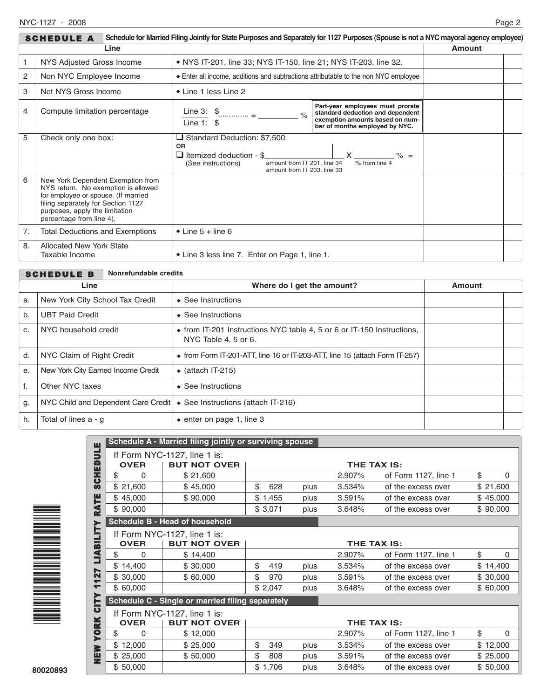| Schedule for Married Filing Jointly for State Purposes and Separately for 1127 Purposes (Spouse is not a NYC mayoral agency employee)<br><b>SCHEDULE A</b> |                                                                                                                                                                                                                     |                                                                                                                                                                                                                                                                                                                                                                                                                                                                                                    |  |  |  |  |  |
|------------------------------------------------------------------------------------------------------------------------------------------------------------|---------------------------------------------------------------------------------------------------------------------------------------------------------------------------------------------------------------------|----------------------------------------------------------------------------------------------------------------------------------------------------------------------------------------------------------------------------------------------------------------------------------------------------------------------------------------------------------------------------------------------------------------------------------------------------------------------------------------------------|--|--|--|--|--|
|                                                                                                                                                            | Amount                                                                                                                                                                                                              |                                                                                                                                                                                                                                                                                                                                                                                                                                                                                                    |  |  |  |  |  |
|                                                                                                                                                            | NYS Adjusted Gross Income                                                                                                                                                                                           | • NYS IT-201, line 33; NYS IT-150, line 21; NYS IT-203, line 32.                                                                                                                                                                                                                                                                                                                                                                                                                                   |  |  |  |  |  |
| 2                                                                                                                                                          | Non NYC Employee Income                                                                                                                                                                                             | Enter all income, additions and subtractions attributable to the non NYC employee                                                                                                                                                                                                                                                                                                                                                                                                                  |  |  |  |  |  |
| 3                                                                                                                                                          | Net NYS Gross Income                                                                                                                                                                                                | $\bullet$ Line 1 less Line 2                                                                                                                                                                                                                                                                                                                                                                                                                                                                       |  |  |  |  |  |
| $\overline{4}$                                                                                                                                             | Compute limitation percentage                                                                                                                                                                                       | Part-year employees must prorate<br>Line 3: $\frac{1}{2}$ $\frac{1}{2}$ $\frac{1}{2}$ $\frac{1}{2}$ $\frac{1}{2}$ $\frac{1}{2}$ $\frac{1}{2}$ $\frac{1}{2}$ $\frac{1}{2}$ $\frac{1}{2}$ $\frac{1}{2}$ $\frac{1}{2}$ $\frac{1}{2}$ $\frac{1}{2}$ $\frac{1}{2}$ $\frac{1}{2}$ $\frac{1}{2}$ $\frac{1}{2}$ $\frac{1}{2}$ $\frac{1}{2}$ $\frac{1}{2}$ $\frac$<br>standard deduction and dependent<br>$\frac{1}{2}$<br>exemption amounts based on num-<br>Line 1: $$$<br>ber of months employed by NYC. |  |  |  |  |  |
| 5                                                                                                                                                          | Check only one box:                                                                                                                                                                                                 | Standard Deduction: \$7,500.<br><b>OR</b><br>$\Box$ Itemized deduction - \$<br>% from line 4<br>amount from IT 201, line 34<br>(See instructions)<br>amount from IT 203. line 33                                                                                                                                                                                                                                                                                                                   |  |  |  |  |  |
| 6                                                                                                                                                          | New York Dependent Exemption from<br>NYS return. No exemption is allowed<br>for employee or spouse. (If married<br>filing separately for Section 1127<br>purposes, apply the limitation<br>percentage from line 4). |                                                                                                                                                                                                                                                                                                                                                                                                                                                                                                    |  |  |  |  |  |
| 7.                                                                                                                                                         | <b>Total Deductions and Exemptions</b>                                                                                                                                                                              | $\bullet$ Line 5 + line 6                                                                                                                                                                                                                                                                                                                                                                                                                                                                          |  |  |  |  |  |
| 8.                                                                                                                                                         | <b>Allocated New York State</b><br>Taxable Income                                                                                                                                                                   | • Line 3 less line 7. Enter on Page 1, line 1.                                                                                                                                                                                                                                                                                                                                                                                                                                                     |  |  |  |  |  |

|    | Nonrefundable credits<br><b>SCHEDULE B</b> |                                                                                                |        |  |  |  |  |
|----|--------------------------------------------|------------------------------------------------------------------------------------------------|--------|--|--|--|--|
|    | Line                                       | Where do I get the amount?                                                                     | Amount |  |  |  |  |
| a. | New York City School Tax Credit            | $\triangle$ See Instructions                                                                   |        |  |  |  |  |
| b. | <b>UBT Paid Credit</b>                     | $\triangle$ See Instructions                                                                   |        |  |  |  |  |
| C. | NYC household credit                       | • from IT-201 Instructions NYC table 4, 5 or 6 or IT-150 Instructions,<br>NYC Table 4, 5 or 6. |        |  |  |  |  |
| d. | NYC Claim of Right Credit                  | $\bullet$ from Form IT-201-ATT, line 16 or IT-203-ATT, line 15 (attach Form IT-257)            |        |  |  |  |  |
| e. | New York City Earned Income Credit         | $\triangleleft$ (attach IT-215)                                                                |        |  |  |  |  |
| f. | Other NYC taxes                            | $\triangle$ See Instructions                                                                   |        |  |  |  |  |
| g. | NYC Child and Dependent Care Credit        | ♦ See Instructions (attach IT-216)                                                             |        |  |  |  |  |
| h. | Total of lines a - q                       | $\bullet$ enter on page 1, line 3                                                              |        |  |  |  |  |



|                          | Schedule A - Married filing jointly or surviving spouse                           |                                                     |             |         |      |        |                      |    |          |          |
|--------------------------|-----------------------------------------------------------------------------------|-----------------------------------------------------|-------------|---------|------|--------|----------------------|----|----------|----------|
| <b>SCHEDULE</b>          | <b>OVER</b>                                                                       | If Form NYC-1127, line 1 is:<br><b>BUT NOT OVER</b> | THE TAX IS: |         |      |        |                      |    |          |          |
|                          | \$<br>0                                                                           | \$21,600                                            |             |         |      | 2.907% | of Form 1127, line 1 | \$ |          | $\Omega$ |
|                          | \$21,600                                                                          | \$45,000                                            | \$          | 628     | plus | 3.534% | of the excess over   |    | \$21,600 |          |
|                          | \$45,000                                                                          | \$90,000                                            |             | \$1,455 | plus | 3.591% | of the excess over   |    | \$45,000 |          |
| <b>RATE</b>              | \$90,000                                                                          |                                                     |             | \$3,071 | plus | 3.648% | of the excess over   |    | \$90,000 |          |
| ➤                        |                                                                                   | Schedule B - Head of household                      |             |         |      |        |                      |    |          |          |
| LIABILIT                 | If Form NYC-1127, line 1 is:<br><b>OVER</b><br><b>BUT NOT OVER</b>                |                                                     |             |         |      |        | THE TAX IS:          |    |          |          |
|                          | \$<br>$\Omega$                                                                    | \$14,400                                            |             |         |      | 2.907% | of Form 1127, line 1 | \$ |          | 0        |
|                          | \$14,400                                                                          | \$30,000                                            | \$          | 419     | plus | 3.534% | of the excess over   |    | \$14,400 |          |
| 127                      | \$30,000                                                                          | \$60,000                                            | \$          | 970     | plus | 3.591% | of the excess over   |    | \$30,000 |          |
| $\overline{\phantom{0}}$ | \$60,000                                                                          |                                                     |             | \$2,047 | plus | 3.648% | of the excess over   |    | \$60,000 |          |
| <b>CITY</b>              | Schedule C - Single or married filing separately                                  |                                                     |             |         |      |        |                      |    |          |          |
|                          | If Form NYC-1127, line 1 is:<br><b>OVER</b><br><b>BUT NOT OVER</b><br>THE TAX IS: |                                                     |             |         |      |        |                      |    |          |          |
| <b>YORK</b>              | \$<br>0                                                                           | \$12,000                                            |             |         |      | 2.907% | of Form 1127, line 1 | \$ |          | 0        |
|                          | \$12,000                                                                          | \$25,000                                            | \$          | 349     | plus | 3.534% | of the excess over   |    | \$12,000 |          |
| NEW                      | \$25,000                                                                          | \$50,000                                            | \$          | 808     | plus | 3.591% | of the excess over   |    | \$25,000 |          |
|                          | \$50,000                                                                          |                                                     |             | \$1,706 | plus | 3.648% | of the excess over   |    | \$50,000 |          |
|                          |                                                                                   |                                                     |             |         |      |        |                      |    |          |          |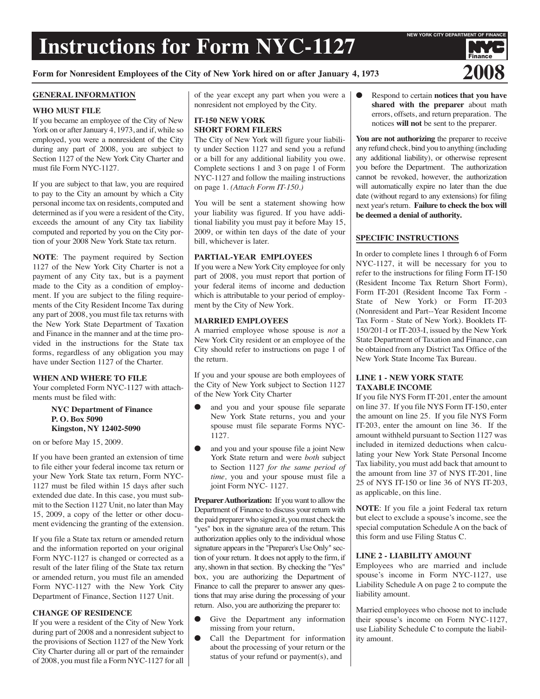# **Instructions for Form NYC-1127**

## Form for Nonresident Employees of the City of New York hired on or after January 4, 1973

#### **GENERAL INFORMATION**

## **WHO MUST FILE**

If you became an employee of the City of New York on or after January 4, 1973, and if, while so employed, you were a nonresident of the City during any part of 2008, you are subject to Section 1127 of the New York City Charter and must file Form NYC-1127.

If you are subject to that law, you are required to pay to the City an amount by which a City personal income tax on residents, computed and determined as if you were a resident of the City, exceeds the amount of any City tax liability computed and reported by you on the City portion of your 2008 New York State tax return.

**NOTE**: The payment required by Section 1127 of the New York City Charter is not a payment of any City tax, but is a payment made to the City as a condition of employment. If you are subject to the filing requirements of the City Resident Income Tax during any part of 2008, you must file tax returns with the New York State Department of Taxation and Finance in the manner and at the time provided in the instructions for the State tax forms, regardless of any obligation you may have under Section 1127 of the Charter.

## **WHEN AND WHERE TO FILE**

Your completed Form NYC-1127 with attachments must be filed with:

#### **NYC Department of Finance P. O. Box 5090 Kingston, NY 12402-5090**

on or before May 15, 2009.

If you have been granted an extension of time to file either your federal income tax return or your New York State tax return, Form NYC-1127 must be filed within 15 days after such extended due date. In this case, you must submit to the Section 1127 Unit, no later than May 15, 2009, a copy of the letter or other document evidencing the granting of the extension.

If you file a State tax return or amended return and the information reported on your original Form NYC-1127 is changed or corrected as a result of the later filing of the State tax return or amended return, you must file an amended Form NYC-1127 with the New York City Department of Finance, Section 1127 Unit.

## **CHANGE OF RESIDENCE**

If you were a resident of the City of New York during part of 2008 and a nonresident subject to the provisions of Section 1127 of the New York City Charter during all or part of the remainder of 2008, you must file a Form NYC-1127 for all of the year except any part when you were a nonresident not employed by the City.

## **IT-150 NEW YORK SHORT FORM FILERS**

The City of New York will figure your liability under Section 1127 and send you a refund or a bill for any additional liability you owe. Complete sections 1 and 3 on page 1 of Form NYC-1127 and follow the mailing instructions on page 1. *(Attach Form IT-150.)*

You will be sent a statement showing how your liability was figured. If you have additional liability you must pay it before May 15, 2009, or within ten days of the date of your bill, whichever is later.

## **PARTIAL-YEAR EMPLOYEES**

If you were a New York City employee for only part of 2008, you must report that portion of your federal items of income and deduction which is attributable to your period of employment by the City of New York.

## **MARRIED EMPLOYEES**

A married employee whose spouse is *not* a New York City resident or an employee of the City should refer to instructions on page 1 of the return.

If you and your spouse are both employees of the City of New York subject to Section 1127 of the New York City Charter

- and you and your spouse file separate New York State returns, you and your spouse must file separate Forms NYC-1127.
- and you and your spouse file a joint New York State return and were *both* subject to Section 1127 *for the same period of time,* you and your spouse must file a joint Form NYC- 1127.

**Preparer Authorization:** If you want to allow the Department of Finance to discuss your return with the paid preparer who signed it, you must check the "yes" box in the signature area of the return. This authorization applies only to the individual whose signature appears in the "Preparer's Use Only" section of your return. It does not apply to the firm, if any, shown in that section. By checking the "Yes" box, you are authorizing the Department of Finance to call the preparer to answer any questions that may arise during the processing of your return. Also, you are authorizing the preparer to:

- Give the Department any information missing from your return,
- Call the Department for information about the processing of your return or the status of your refund or payment(s), and

Respond to certain **notices that you have shared with the preparer** about math errors, offsets, and return preparation. The notices **will not** be sent to the preparer.

**You are not authorizing** the preparer to receive any refund check, bind you to anything (including any additional liability), or otherwise represent you before the Department. The authorization cannot be revoked, however, the authorization will automatically expire no later than the due date (without regard to any extensions) for filing next year's return. **Failure to check the box will be deemed a denial of authority.**

## **SPECIFIC INSTRUCTIONS**

In order to complete lines 1 through 6 of Form NYC-1127, it will be necessary for you to refer to the instructions for filing Form IT-150 (Resident Income Tax Return Short Form), Form IT-201 (Resident Income Tax Form - State of New York) or Form IT-203 (Nonresident and Part--Year Resident Income Tax Form - State of New York). Booklets IT-150/201-I or IT-203-I, issued by the New York State Department of Taxation and Finance, can be obtained from any District Tax Office of the New York State Income Tax Bureau.

## **LINE 1 - NEW YORK STATE TAXABLE INCOME**

If you file NYS Form IT-201, enter the amount on line 37. If you file NYS Form IT-150, enter the amount on line 25. If you file NYS Form IT-203, enter the amount on line 36. If the amount withheld pursuant to Section 1127 was included in itemized deductions when calculating your New York State Personal Income Tax liability, you must add back that amount to the amount from line 37 of NYS IT-201, line 25 of NYS IT-150 or line 36 of NYS IT-203, as applicable, on this line.

**NOTE**: If you file a joint Federal tax return but elect to exclude a spouse's income, see the special computation Schedule A on the back of this form and use Filing Status C.

#### **LINE 2 - LIABILITY AMOUNT**

Employees who are married and include spouse's income in Form NYC-1127, use Liability Schedule A on page 2 to compute the liability amount.

Married employees who choose not to include their spouse's income on Form NYC-1127, use Liability Schedule C to compute the liability amount.

Finance